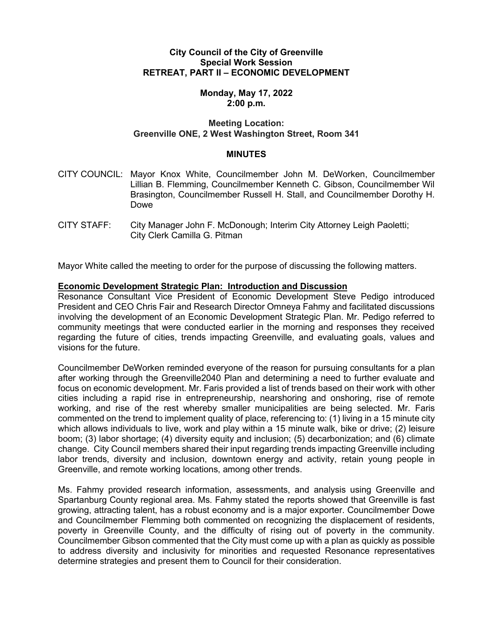### **City Council of the City of Greenville Special Work Session RETREAT, PART II – ECONOMIC DEVELOPMENT**

## **Monday, May 17, 2022 2:00 p.m.**

## **Meeting Location: Greenville ONE, 2 West Washington Street, Room 341**

### **MINUTES**

- CITY COUNCIL: Mayor Knox White, Councilmember John M. DeWorken, Councilmember Lillian B. Flemming, Councilmember Kenneth C. Gibson, Councilmember Wil Brasington, Councilmember Russell H. Stall, and Councilmember Dorothy H. Dowe
- CITY STAFF: City Manager John F. McDonough; Interim City Attorney Leigh Paoletti; City Clerk Camilla G. Pitman

Mayor White called the meeting to order for the purpose of discussing the following matters.

#### **Economic Development Strategic Plan: Introduction and Discussion**

Resonance Consultant Vice President of Economic Development Steve Pedigo introduced President and CEO Chris Fair and Research Director Omneya Fahmy and facilitated discussions involving the development of an Economic Development Strategic Plan. Mr. Pedigo referred to community meetings that were conducted earlier in the morning and responses they received regarding the future of cities, trends impacting Greenville, and evaluating goals, values and visions for the future.

Councilmember DeWorken reminded everyone of the reason for pursuing consultants for a plan after working through the Greenville2040 Plan and determining a need to further evaluate and focus on economic development. Mr. Faris provided a list of trends based on their work with other cities including a rapid rise in entrepreneurship, nearshoring and onshoring, rise of remote working, and rise of the rest whereby smaller municipalities are being selected. Mr. Faris commented on the trend to implement quality of place, referencing to: (1) living in a 15 minute city which allows individuals to live, work and play within a 15 minute walk, bike or drive; (2) leisure boom; (3) labor shortage; (4) diversity equity and inclusion; (5) decarbonization; and (6) climate change. City Council members shared their input regarding trends impacting Greenville including labor trends, diversity and inclusion, downtown energy and activity, retain young people in Greenville, and remote working locations, among other trends.

Ms. Fahmy provided research information, assessments, and analysis using Greenville and Spartanburg County regional area. Ms. Fahmy stated the reports showed that Greenville is fast growing, attracting talent, has a robust economy and is a major exporter. Councilmember Dowe and Councilmember Flemming both commented on recognizing the displacement of residents, poverty in Greenville County, and the difficulty of rising out of poverty in the community. Councilmember Gibson commented that the City must come up with a plan as quickly as possible to address diversity and inclusivity for minorities and requested Resonance representatives determine strategies and present them to Council for their consideration.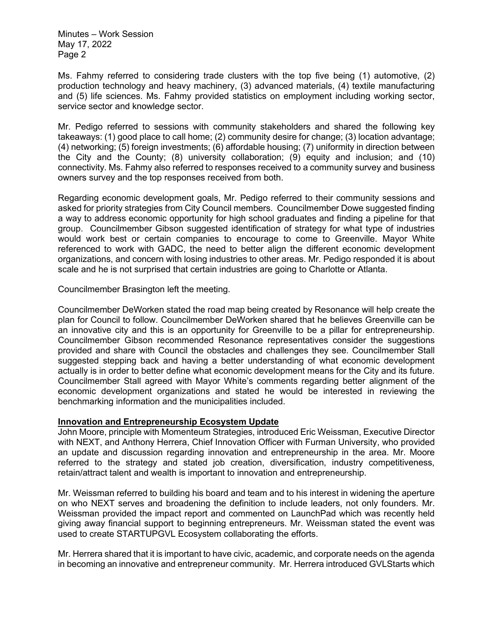Minutes – Work Session May 17, 2022 Page 2

Ms. Fahmy referred to considering trade clusters with the top five being (1) automotive, (2) production technology and heavy machinery, (3) advanced materials, (4) textile manufacturing and (5) life sciences. Ms. Fahmy provided statistics on employment including working sector, service sector and knowledge sector.

Mr. Pedigo referred to sessions with community stakeholders and shared the following key takeaways: (1) good place to call home; (2) community desire for change; (3) location advantage; (4) networking; (5) foreign investments; (6) affordable housing; (7) uniformity in direction between the City and the County; (8) university collaboration; (9) equity and inclusion; and (10) connectivity. Ms. Fahmy also referred to responses received to a community survey and business owners survey and the top responses received from both.

Regarding economic development goals, Mr. Pedigo referred to their community sessions and asked for priority strategies from City Council members. Councilmember Dowe suggested finding a way to address economic opportunity for high school graduates and finding a pipeline for that group. Councilmember Gibson suggested identification of strategy for what type of industries would work best or certain companies to encourage to come to Greenville. Mayor White referenced to work with GADC, the need to better align the different economic development organizations, and concern with losing industries to other areas. Mr. Pedigo responded it is about scale and he is not surprised that certain industries are going to Charlotte or Atlanta.

Councilmember Brasington left the meeting.

Councilmember DeWorken stated the road map being created by Resonance will help create the plan for Council to follow. Councilmember DeWorken shared that he believes Greenville can be an innovative city and this is an opportunity for Greenville to be a pillar for entrepreneurship. Councilmember Gibson recommended Resonance representatives consider the suggestions provided and share with Council the obstacles and challenges they see. Councilmember Stall suggested stepping back and having a better understanding of what economic development actually is in order to better define what economic development means for the City and its future. Councilmember Stall agreed with Mayor White's comments regarding better alignment of the economic development organizations and stated he would be interested in reviewing the benchmarking information and the municipalities included.

# **Innovation and Entrepreneurship Ecosystem Update**

John Moore, principle with Momenteum Strategies, introduced Eric Weissman, Executive Director with NEXT, and Anthony Herrera, Chief Innovation Officer with Furman University, who provided an update and discussion regarding innovation and entrepreneurship in the area. Mr. Moore referred to the strategy and stated job creation, diversification, industry competitiveness, retain/attract talent and wealth is important to innovation and entrepreneurship.

Mr. Weissman referred to building his board and team and to his interest in widening the aperture on who NEXT serves and broadening the definition to include leaders, not only founders. Mr. Weissman provided the impact report and commented on LaunchPad which was recently held giving away financial support to beginning entrepreneurs. Mr. Weissman stated the event was used to create STARTUPGVL Ecosystem collaborating the efforts.

Mr. Herrera shared that it is important to have civic, academic, and corporate needs on the agenda in becoming an innovative and entrepreneur community. Mr. Herrera introduced GVLStarts which